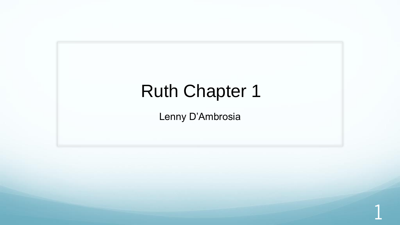## Ruth Chapter 1

Lenny D'Ambrosia

1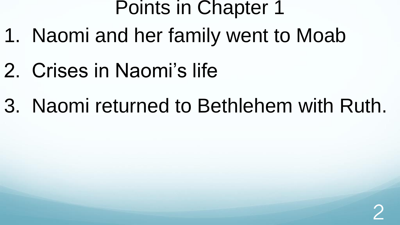## Points in Chapter 1

- 1. Naomi and her family went to Moab
- 2. Crises in Naomi's life
- 3. Naomi returned to Bethlehem with Ruth.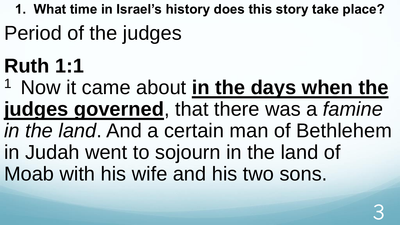**1. What time in Israel's history does this story take place?** 

- Period of the judges
- **Ruth 1:1**

<sup>1</sup> Now it came about in the days when the **judges governed**, that there was a *famine in the land*. And a certain man of Bethlehem in Judah went to sojourn in the land of Moab with his wife and his two sons.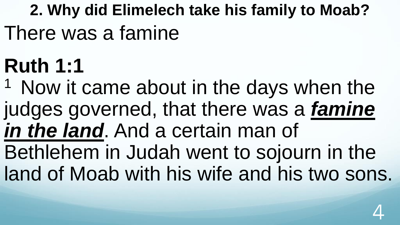## **2. Why did Elimelech take his family to Moab?**  There was a famine

# **Ruth 1:1**

 $1$  Now it came about in the days when the judges governed, that there was a *famine in the land*. And a certain man of

Bethlehem in Judah went to sojourn in the land of Moab with his wife and his two sons.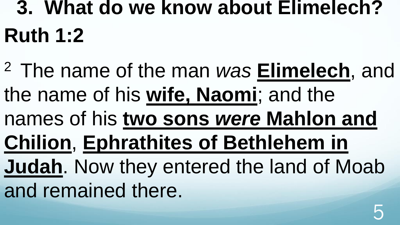# **3. What do we know about Elimelech? Ruth 1:2**

<sup>2</sup>The name of the man *was* **Elimelech**, and the name of his **wife, Naomi**; and the names of his **two sons** *were* **Mahlon and Chilion**, **Ephrathites of Bethlehem in Judah**. Now they entered the land of Moab and remained there.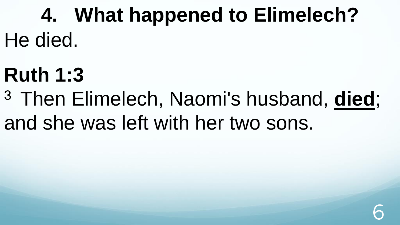**4. What happened to Elimelech?** He died.

## **Ruth 1:3**

<sup>3</sup>Then Elimelech, Naomi's husband, **died**; and she was left with her two sons.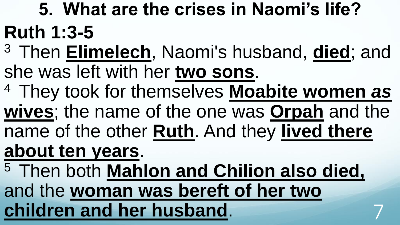**5. What are the crises in Naomi's life? Ruth 1:3-5** 

- <sup>3</sup>Then **Elimelech**, Naomi's husband, **died**; and she was left with her **two sons**.
- <sup>4</sup>They took for themselves **Moabite women** *as*
- **wives**; the name of the one was **Orpah** and the
- name of the other **Ruth**. And they **lived there**
- **about ten years**.
- <sup>5</sup>Then both **Mahlon and Chilion also died,**  and the **woman was bereft of her two children and her husband**. 7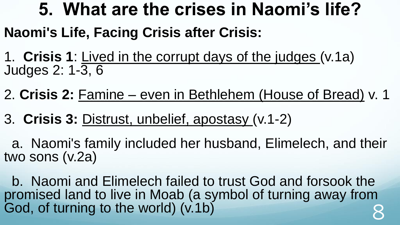### **5. What are the crises in Naomi's life?**

#### **Naomi's Life, Facing Crisis after Crisis:**

1. **Crisis 1**: Lived in the corrupt days of the judges (v.1a) Judges 2: 1-3, 6

2. **Crisis 2:** Famine – even in Bethlehem (House of Bread) v. 1

3. **Crisis 3:** Distrust, unbelief, apostasy (v.1-2)

a. Naomi's family included her husband, Elimelech, and their two sons (v.2a)

b. Naomi and Elimelech failed to trust God and forsook the promised land to live in Moab (a symbol of turning away from God, of turning to the world) (v.1b)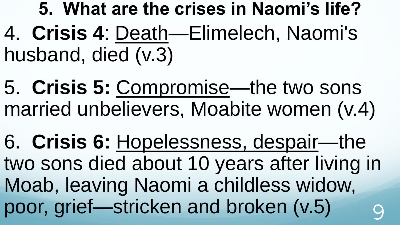**5. What are the crises in Naomi's life?** 4. **Crisis 4**: Death—Elimelech, Naomi's husband, died (v.3)

5. **Crisis 5:** Compromise—the two sons married unbelievers, Moabite women (v.4)

6. **Crisis 6:** Hopelessness, despair—the two sons died about 10 years after living in Moab, leaving Naomi a childless widow, poor, grief—stricken and broken (v.5)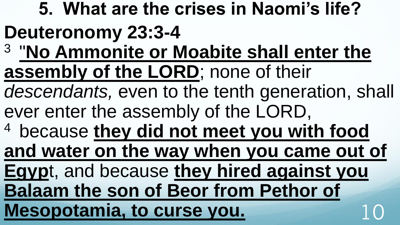**5. What are the crises in Naomi's life? Deuteronomy 23:3-4**  3 "**No Ammonite or Moabite shall enter the assembly of the LORD**; none of their *descendants,* even to the tenth generation, shall ever enter the assembly of the LORD, <sup>4</sup>because **they did not meet you with food and water on the way when you came out of Egyp**t, and because **they hired against you Balaam the son of Beor from Pethor of Mesopotamia, to curse you.**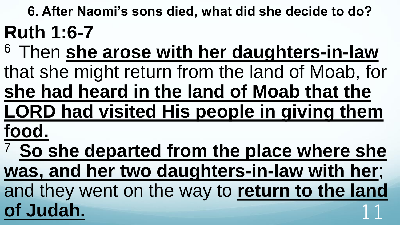**6. After Naomi's sons died, what did she decide to do? Ruth 1:6-7** 

- <sup>6</sup>Then **she arose with her daughters-in-law**  that she might return from the land of Moab, for
- **she had heard in the land of Moab that the LORD had visited His people in giving them**
- **food.**

<sup>7</sup>**So she departed from the place where she was, and her two daughters-in-law with her**; and they went on the way to **return to the land**  of Judah.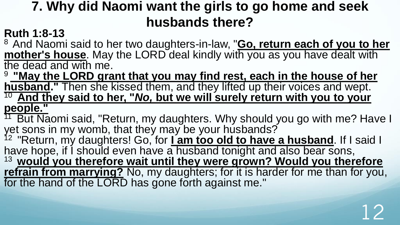#### **7. Why did Naomi want the girls to go home and seek husbands there?**

#### **Ruth 1:8-13**

<sup>8</sup> And Naomi said to her two daughters-in-law, "**Go, return each of you to her mother's house**. May the LORD deal kindly with you as you have dealt with the dead and with me.

<sup>9</sup>**"May the LORD grant that you may find rest, each in the house of her husband."** Then she kissed them, and they lifted up their voices and wept. <sup>10</sup>**And they said to her, "***No,* **but we will surely return with you to your people."** 

<sup>11</sup> But Naomi said, "Return, my daughters. Why should you go with me? Have I vet sons in my womb, that they may be your husbands?

<sup>12</sup> "Return, my daughters! Go, for Lam too old to have a husband. If I said I have hope, if I should even have a husband tonight and also bear sons, <sup>13</sup>**would you therefore wait until they were grown? Would you therefore refrain from marrying?** No, my daughters; for it is harder for me than for you, for the hand of the LORD has gone forth against me."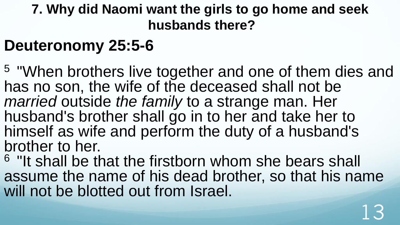#### **7. Why did Naomi want the girls to go home and seek husbands there?**

### **Deuteronomy 25:5-6**

<sup>5</sup>"When brothers live together and one of them dies and has no son, the wife of the deceased shall not be *married* outside *the family* to a strange man. Her husband's brother shall go in to her and take her to himself as wife and perform the duty of a husband's brother to her.

<sup>6</sup> "It shall be that the firstborn whom she bears shall assume the name of his dead brother, so that his name will not be blotted out from Israel.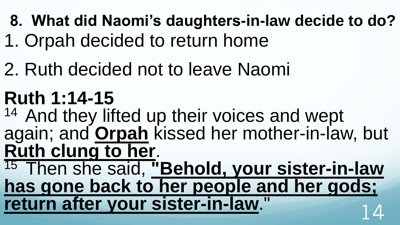- **8. What did Naomi's daughters-in-law decide to do?**
- 1. Orpah decided to return home
- 2. Ruth decided not to leave Naomi
- **Ruth 1:14-15**
- <sup>14</sup> And they lifted up their voices and wept again; and **Orpah** kissed her mother-in-law, but **Ruth clung to her**.

<sup>15</sup> Then she said, "Behold, your sister-in-law **has gone back to her people and her gods; return after your sister-in-law."**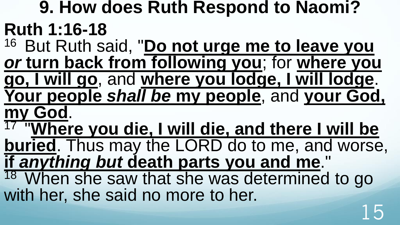**9. How does Ruth Respond to Naomi? Ruth 1:16-18**  <sup>16</sup> But Ruth said, "Do not urge me to leave you *or* **turn back from following you**; for **where you go, I will go**, and **where you lodge, I will lodge**. **Your people** *shall be* **my people**, and **your God, my God**. 17 "**Where you die, I will die, and there I will be buried**. Thus may the LORD do to me, and worse, **if** *anything but* **death parts you and me**." <sup>18</sup> When she saw that she was determined to go with her, she said no more to her.

15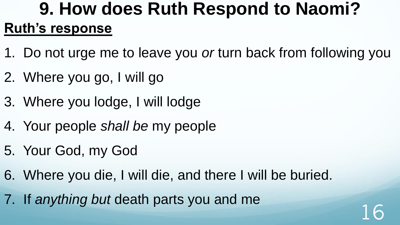### **9. How does Ruth Respond to Naomi? Ruth's response**

- 1. Do not urge me to leave you *or* turn back from following you
- 2. Where you go, I will go
- 3. Where you lodge, I will lodge
- 4. Your people *shall be* my people
- 5. Your God, my God
- 6. Where you die, I will die, and there I will be buried.
- 7. If *anything but* death parts you and me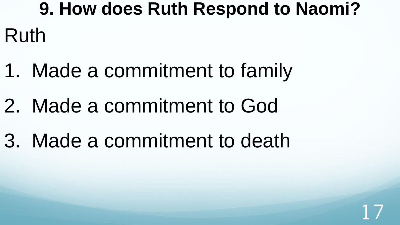# **9. How does Ruth Respond to Naomi?** Ruth

- 1. Made a commitment to family
- 2. Made a commitment to God
- 3. Made a commitment to death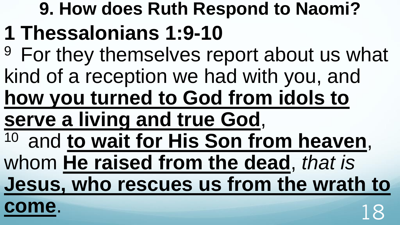# **9. How does Ruth Respond to Naomi? 1 Thessalonians 1:9-10**

- <sup>9</sup> For they themselves report about us what kind of a reception we had with you, and
- **how you turned to God from idols to**
- **serve a living and true God**,
- <sup>10</sup> and **to wait for His Son from heaven**,
- whom **He raised from the dead**, *that is*

**Jesus, who rescues us from the wrath to** 

**come**. 18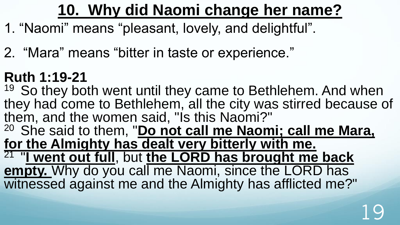### **10. Why did Naomi change her name?**

- 1. "Naomi" means "pleasant, lovely, and delightful".
- 2. "Mara" means "bitter in taste or experience."

### **Ruth 1:19-21**

 $19$  So they both went until they came to Bethlehem. And when they had come to Bethlehem, all the city was stirred because of them, and the women said, "Is this Naomi?"

<sup>20</sup> She said to them, "**Do not call me Naomi; call me Mara, for the Almighty has dealt very bitterly with me.** 21 "**I went out full**, but **the LORD has brought me back** 

**empty.** Why do you call me Naomi, since the LORD has witnessed against me and the Almighty has afflicted me?"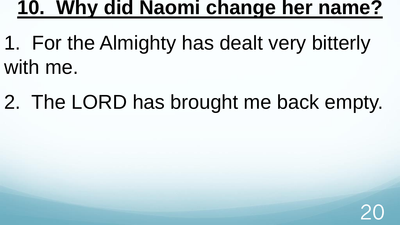### **10. Why did Naomi change her name?**

- 1. For the Almighty has dealt very bitterly with me.
- 2. The LORD has brought me back empty.